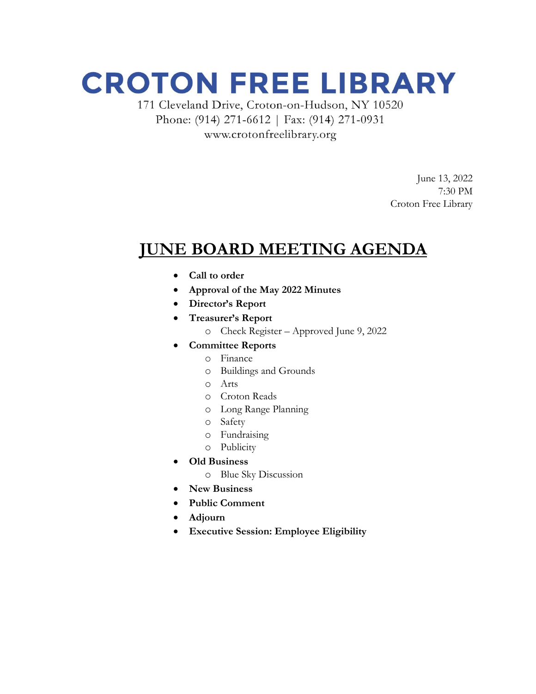# **CROTON FREE LIBRARY**

171 Cleveland Drive, Croton-on-Hudson, NY 10520 Phone: (914) 271-6612 | Fax: (914) 271-0931 www.crotonfreelibrary.org

> June 13, 2022 7:30 PM Croton Free Library

## **JUNE BOARD MEETING AGENDA**

- **Call to order**
- **Approval of the May 2022 Minutes**
- **Director's Report**
- **Treasurer's Report**
	- o Check Register Approved June 9, 2022
- **Committee Reports**
	- o Finance
	- o Buildings and Grounds
	- o Arts
	- o Croton Reads
	- o Long Range Planning
	- o Safety
	- o Fundraising
	- o Publicity
- **Old Business**
	- o Blue Sky Discussion
- **New Business**
- **Public Comment**
- **Adjourn**
- **Executive Session: Employee Eligibility**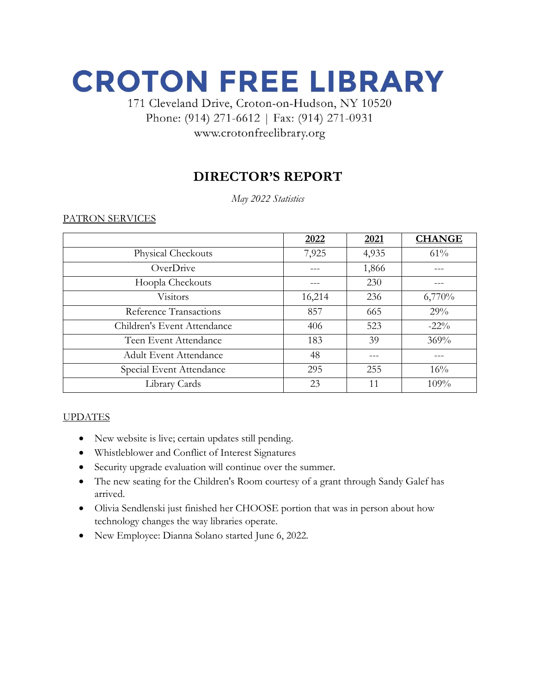# **CROTON FREE LIBRARY**

### 171 Cleveland Drive, Croton-on-Hudson, NY 10520 Phone: (914) 271-6612 | Fax: (914) 271-0931 www.crotonfreelibrary.org

### **DIRECTOR'S REPORT**

*May 2022 Statistics*

PATRON SERVICES

|                               | 2022   | 2021  | <b>CHANGE</b> |
|-------------------------------|--------|-------|---------------|
| Physical Checkouts            | 7,925  | 4,935 | 61%           |
| OverDrive                     |        | 1,866 |               |
| Hoopla Checkouts              |        | 230   |               |
| <b>Visitors</b>               | 16,214 | 236   | 6,770%        |
| Reference Transactions        | 857    | 665   | 29%           |
| Children's Event Attendance   | 406    | 523   | $-22\%$       |
| Teen Event Attendance         | 183    | 39    | 369%          |
| <b>Adult Event Attendance</b> | 48     |       |               |
| Special Event Attendance      | 295    | 255   | 16%           |
| Library Cards                 | 23     | 11    | 109%          |

#### **UPDATES**

- New website is live; certain updates still pending.
- Whistleblower and Conflict of Interest Signatures
- Security upgrade evaluation will continue over the summer.
- The new seating for the Children's Room courtesy of a grant through Sandy Galef has arrived.
- Olivia Sendlenski just finished her CHOOSE portion that was in person about how technology changes the way libraries operate.
- New Employee: Dianna Solano started June 6, 2022.